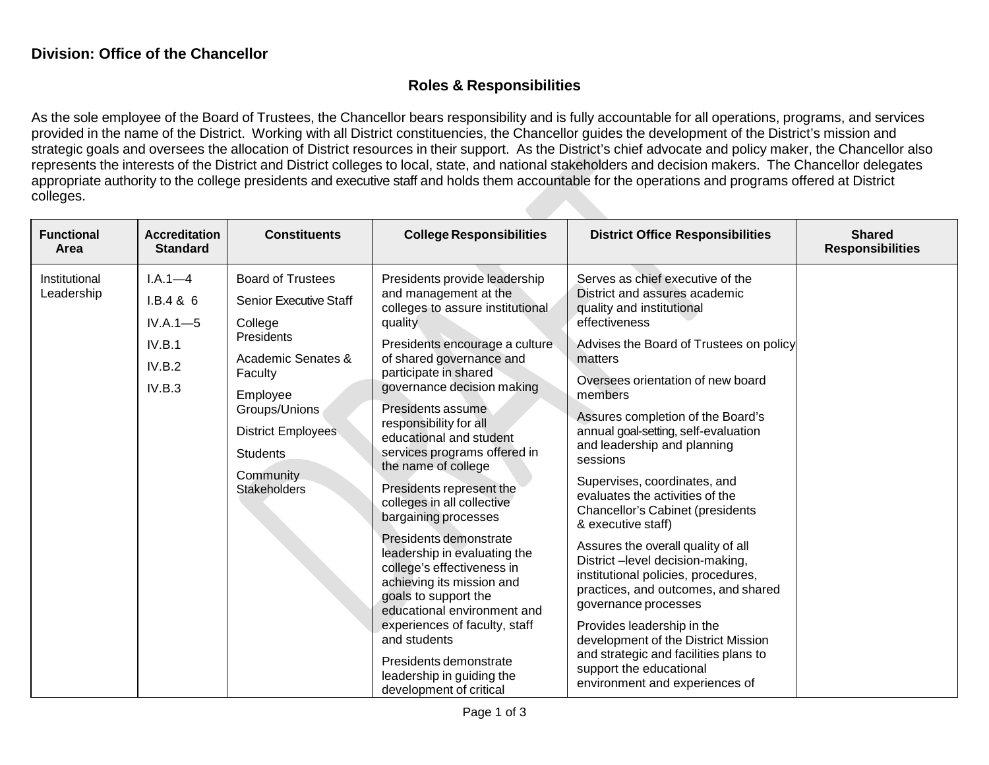## **Roles & Responsibilities**

As the sole employee of the Board of Trustees, the Chancellor bears responsibility and is fully accountable for all operations, programs, and services provided in the name of the District. Working with all District constituencies, the Chancellor guides the development of the District's mission and strategic goals and oversees the allocation of District resources in their support. As the District's chief advocate and policy maker, the Chancellor also represents the interests of the District and District colleges to local, state, and national stakeholders and decision makers. The Chancellor delegates appropriate authority to the college presidents and executive staff and holds them accountable for the operations and programs offered at District colleges.

| <b>Functional</b><br>Area   | <b>Accreditation</b><br><b>Standard</b>            | <b>Constituents</b>                                                                                                      | <b>College Responsibilities</b>                                                                                                                                                                                                                                                                                                                                                                                                                                                                                                                                                                                                                                                                                                                              | <b>District Office Responsibilities</b>                                                                                                                                                                                                                                                                                                                                                                                                                                                                                                                                                                                                                            | <b>Shared</b><br><b>Responsibilities</b> |
|-----------------------------|----------------------------------------------------|--------------------------------------------------------------------------------------------------------------------------|--------------------------------------------------------------------------------------------------------------------------------------------------------------------------------------------------------------------------------------------------------------------------------------------------------------------------------------------------------------------------------------------------------------------------------------------------------------------------------------------------------------------------------------------------------------------------------------------------------------------------------------------------------------------------------------------------------------------------------------------------------------|--------------------------------------------------------------------------------------------------------------------------------------------------------------------------------------------------------------------------------------------------------------------------------------------------------------------------------------------------------------------------------------------------------------------------------------------------------------------------------------------------------------------------------------------------------------------------------------------------------------------------------------------------------------------|------------------------------------------|
| Institutional<br>Leadership | $I.A.1 - 4$<br>I.B.4 & 6<br>$IV.A.1 - 5$<br>IV.B.1 | <b>Board of Trustees</b><br><b>Senior Executive Staff</b><br>College<br>Presidents<br>Academic Senates &                 | Presidents provide leadership<br>and management at the<br>colleges to assure institutional<br>quality<br>Presidents encourage a culture<br>of shared governance and<br>participate in shared<br>governance decision making<br>Presidents assume<br>responsibility for all<br>educational and student<br>services programs offered in<br>the name of college<br>Presidents represent the<br>colleges in all collective<br>bargaining processes<br>Presidents demonstrate<br>leadership in evaluating the<br>college's effectiveness in<br>achieving its mission and<br>goals to support the<br>educational environment and<br>experiences of faculty, staff<br>and students<br>Presidents demonstrate<br>leadership in guiding the<br>development of critical | Serves as chief executive of the<br>District and assures academic<br>quality and institutional<br>effectiveness<br>Advises the Board of Trustees on policy<br>matters                                                                                                                                                                                                                                                                                                                                                                                                                                                                                              |                                          |
|                             | IV.B.2<br>IV.B.3                                   | Faculty<br>Employee<br>Groups/Unions<br><b>District Employees</b><br><b>Students</b><br>Community<br><b>Stakeholders</b> |                                                                                                                                                                                                                                                                                                                                                                                                                                                                                                                                                                                                                                                                                                                                                              | Oversees orientation of new board<br>members<br>Assures completion of the Board's<br>annual goal-setting, self-evaluation<br>and leadership and planning<br>sessions<br>Supervises, coordinates, and<br>evaluates the activities of the<br><b>Chancellor's Cabinet (presidents</b><br>& executive staff)<br>Assures the overall quality of all<br>District-level decision-making,<br>institutional policies, procedures,<br>practices, and outcomes, and shared<br>governance processes<br>Provides leadership in the<br>development of the District Mission<br>and strategic and facilities plans to<br>support the educational<br>environment and experiences of |                                          |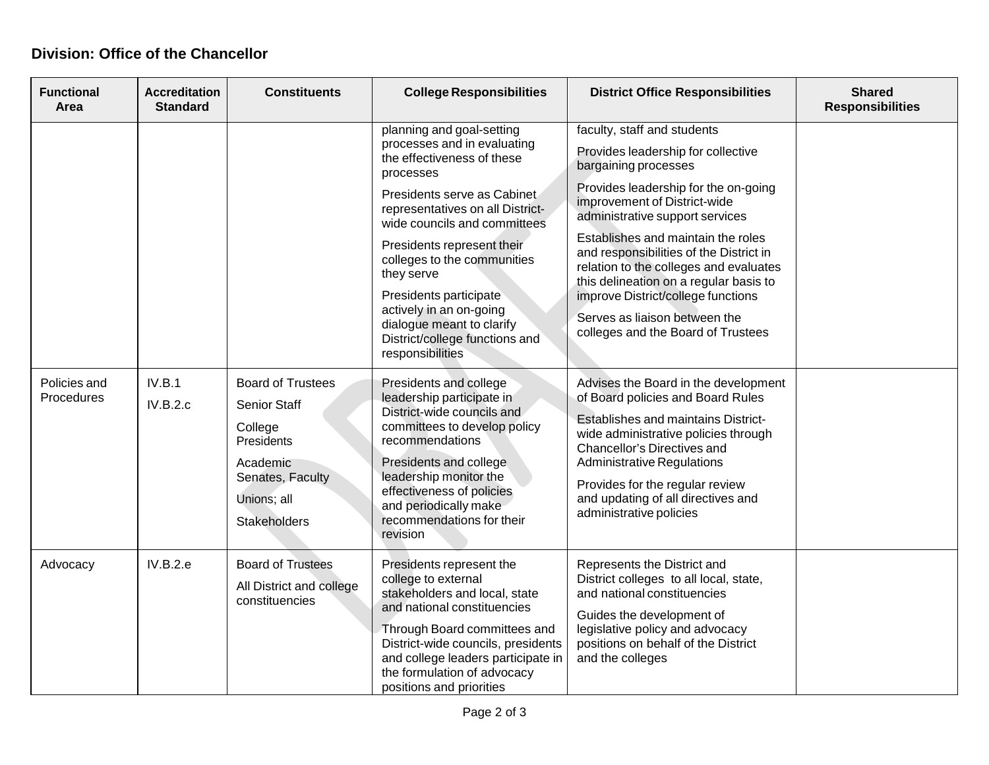## **Division: Office of the Chancellor**

| <b>Functional</b><br>Area  | <b>Accreditation</b><br><b>Standard</b> | <b>Constituents</b>                                                                                                                     | <b>College Responsibilities</b>                                                                                                                                                                                                                                                                                                                                                                                           | <b>District Office Responsibilities</b>                                                                                                                                                                                                                                                                                                                                                                                                                                                | <b>Shared</b><br><b>Responsibilities</b> |
|----------------------------|-----------------------------------------|-----------------------------------------------------------------------------------------------------------------------------------------|---------------------------------------------------------------------------------------------------------------------------------------------------------------------------------------------------------------------------------------------------------------------------------------------------------------------------------------------------------------------------------------------------------------------------|----------------------------------------------------------------------------------------------------------------------------------------------------------------------------------------------------------------------------------------------------------------------------------------------------------------------------------------------------------------------------------------------------------------------------------------------------------------------------------------|------------------------------------------|
|                            |                                         |                                                                                                                                         | planning and goal-setting<br>processes and in evaluating<br>the effectiveness of these<br>processes<br>Presidents serve as Cabinet<br>representatives on all District-<br>wide councils and committees<br>Presidents represent their<br>colleges to the communities<br>they serve<br>Presidents participate<br>actively in an on-going<br>dialogue meant to clarify<br>District/college functions and<br>responsibilities | faculty, staff and students<br>Provides leadership for collective<br>bargaining processes<br>Provides leadership for the on-going<br>improvement of District-wide<br>administrative support services<br>Establishes and maintain the roles<br>and responsibilities of the District in<br>relation to the colleges and evaluates<br>this delineation on a regular basis to<br>improve District/college functions<br>Serves as liaison between the<br>colleges and the Board of Trustees |                                          |
| Policies and<br>Procedures | IV.B.1<br>IV.B.2.c                      | <b>Board of Trustees</b><br><b>Senior Staff</b><br>College<br>Presidents<br>Academic<br>Senates, Faculty<br>Unions; all<br>Stakeholders | Presidents and college<br>leadership participate in<br>District-wide councils and<br>committees to develop policy<br>recommendations<br>Presidents and college<br>leadership monitor the<br>effectiveness of policies<br>and periodically make<br>recommendations for their<br>revision                                                                                                                                   | Advises the Board in the development<br>of Board policies and Board Rules<br>Establishes and maintains District-<br>wide administrative policies through<br>Chancellor's Directives and<br><b>Administrative Regulations</b><br>Provides for the regular review<br>and updating of all directives and<br>administrative policies                                                                                                                                                       |                                          |
| Advocacy                   | IV.B.2.e                                | <b>Board of Trustees</b><br>All District and college<br>constituencies                                                                  | Presidents represent the<br>college to external<br>stakeholders and local, state<br>and national constituencies<br>Through Board committees and<br>District-wide councils, presidents<br>and college leaders participate in<br>the formulation of advocacy<br>positions and priorities                                                                                                                                    | Represents the District and<br>District colleges to all local, state,<br>and national constituencies<br>Guides the development of<br>legislative policy and advocacy<br>positions on behalf of the District<br>and the colleges                                                                                                                                                                                                                                                        |                                          |